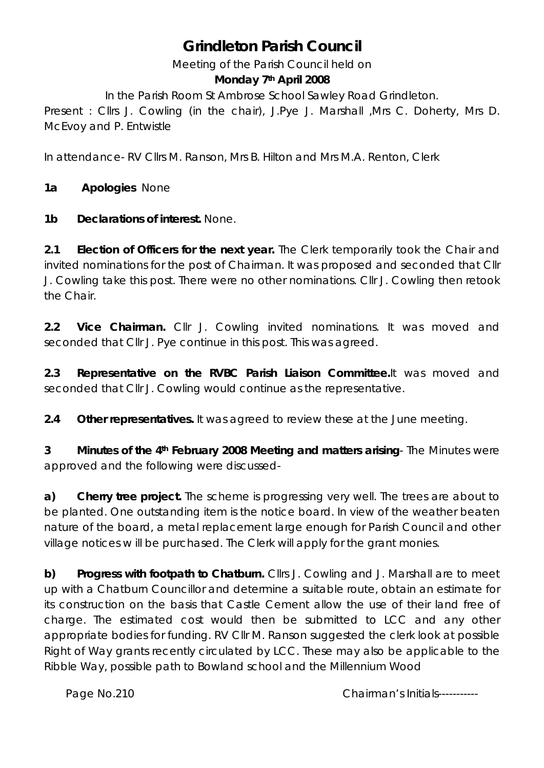# **Grindleton Parish Council**

Meeting of the Parish Council held on

#### **Monday 7th April 2008**

In the Parish Room St Ambrose School Sawley Road Grindleton.

Present : Cllrs J. Cowling (in the chair), J.Pye J. Marshall ,Mrs C. Doherty, Mrs D. McEvoy and P. Entwistle

In attendance- RV Cllrs M. Ranson, Mrs B. Hilton and Mrs M.A. Renton, Clerk

**1a Apologies** None

**1b Declarations of interest.** None.

**2.1 Election of Officers for the next year.** The Clerk temporarily took the Chair and invited nominations for the post of Chairman. It was proposed and seconded that Cllr J. Cowling take this post. There were no other nominations. Cllr J. Cowling then retook the Chair.

**2.2 Vice Chairman.** Cllr J. Cowling invited nominations. It was moved and seconded that Cllr J. Pye continue in this post. This was agreed.

**2.3 Representative on the RVBC Parish Liaison Committee.**It was moved and seconded that Cllr J. Cowling would continue as the representative.

**2.4 Other representatives.** It was agreed to review these at the June meeting.

**3 Minutes of the 4th February 2008 Meeting and matters arising**- The Minutes were approved and the following were discussed-

**a) Cherry tree project.** The scheme is progressing very well. The trees are about to be planted. One outstanding item is the notice board. In view of the weather beaten nature of the board, a metal replacement large enough for Parish Council and other village notices w ill be purchased. The Clerk will apply for the grant monies.

**b) Progress with footpath to Chatburn.** Cllrs J. Cowling and J. Marshall are to meet up with a Chatburn Councillor and determine a suitable route, obtain an estimate for its construction on the basis that Castle Cement allow the use of their land free of charge. The estimated cost would then be submitted to LCC and any other appropriate bodies for funding. RV Cllr M. Ranson suggested the clerk look at possible Right of Way grants recently circulated by LCC. These may also be applicable to the Ribble Way, possible path to Bowland school and the Millennium Wood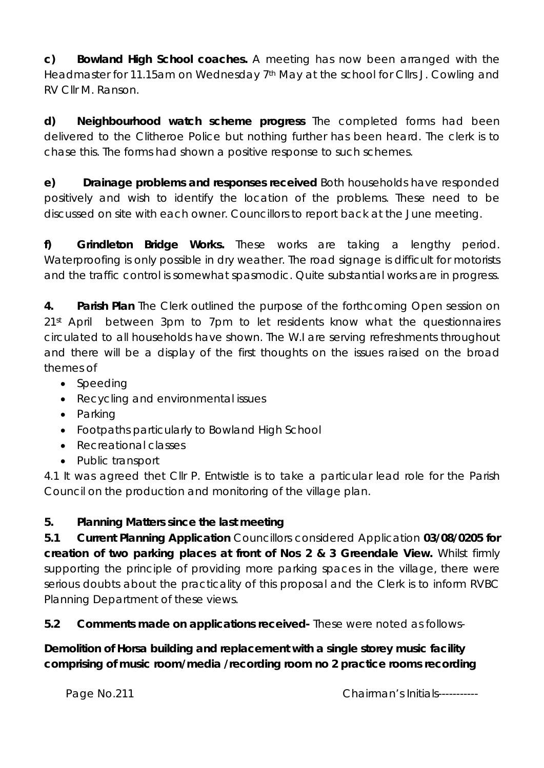**c) Bowland High School coaches.** A meeting has now been arranged with the Headmaster for 11.15am on Wednesday 7<sup>th</sup> May at the school for Cllrs J. Cowling and RV Cllr M. Ranson.

**d) Neighbourhood watch scheme progress** The completed forms had been delivered to the Clitheroe Police but nothing further has been heard. The clerk is to chase this. The forms had shown a positive response to such schemes.

**e) Drainage problems and responses received** Both households have responded positively and wish to identify the location of the problems. These need to be discussed on site with each owner. Councillors to report back at the June meeting.

**f) Grindleton Bridge Works.** These works are taking a lengthy period. Waterproofing is only possible in dry weather. The road signage is difficult for motorists and the traffic control is somewhat spasmodic. Quite substantial works are in progress.

**4. Parish Plan** The Clerk outlined the purpose of the forthcoming Open session on 21<sup>st</sup> April between 3pm to 7pm to let residents know what the questionnaires circulated to all households have shown. The W.I are serving refreshments throughout and there will be a display of the first thoughts on the issues raised on the broad themes of

- Speeding
- Recycling and environmental issues
- Parking
- Footpaths particularly to Bowland High School
- Recreational classes
- Public transport

4.1 It was agreed thet Cllr P. Entwistle is to take a particular lead role for the Parish Council on the production and monitoring of the village plan.

## **5. Planning Matters since the last meeting**

**5.1 Current Planning Application** Councillors considered Application **03/08/0205 for creation of two parking places at front of Nos 2 & 3 Greendale View.** Whilst firmly supporting the principle of providing more parking spaces in the village, there were serious doubts about the practicality of this proposal and the Clerk is to inform RVBC Planning Department of these views.

**5.2 Comments made on applications received-** These were noted as follows-

**Demolition of Horsa building and replacement with a single storey music facility comprising of music room/media /recording room no 2 practice rooms recording**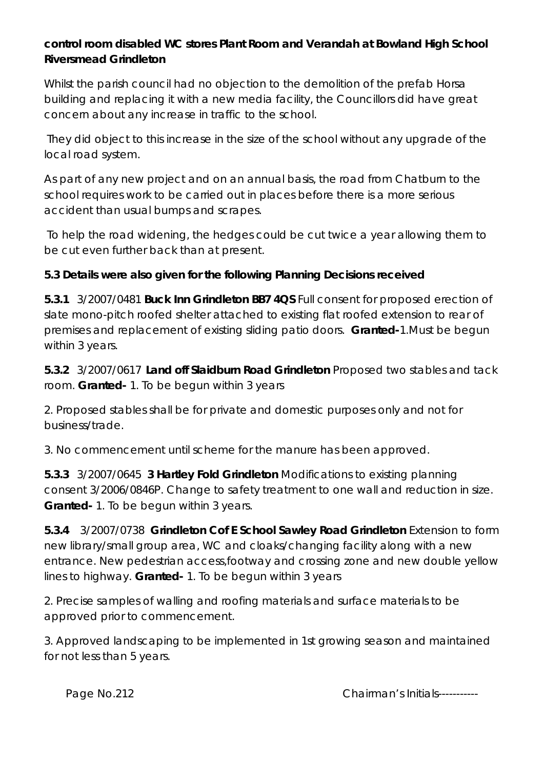### **control room disabled WC stores Plant Room and Verandah at Bowland High School Riversmead Grindleton**

Whilst the parish council had no objection to the demolition of the prefab Horsa building and replacing it with a new media facility, the Councillors did have great concern about any increase in traffic to the school.

 They did object to this increase in the size of the school without any upgrade of the local road system.

As part of any new project and on an annual basis, the road from Chatburn to the school requires work to be carried out in places before there is a more serious accident than usual bumps and scrapes.

 To help the road widening, the hedges could be cut twice a year allowing them to be cut even further back than at present.

### **5.3 Details were also given for the following Planning Decisions received**

**5.3.1** 3/2007/0481 **Buck Inn Grindleton BB7 4QS** Full consent for proposed erection of slate mono-pitch roofed shelter attached to existing flat roofed extension to rear of premises and replacement of existing sliding patio doors. **Granted-**1.Must be begun within 3 years.

**5.3.2** 3/2007/0617 **Land off Slaidburn Road Grindleton** Proposed two stables and tack room. **Granted-** 1. To be begun within 3 years

2. Proposed stables shall be for private and domestic purposes only and not for business/trade.

3. No commencement until scheme for the manure has been approved.

**5.3.3** 3/2007/0645 **3 Hartley Fold Grindleton** Modifications to existing planning consent 3/2006/0846P. Change to safety treatment to one wall and reduction in size. **Granted-** 1. To be begun within 3 years.

**5.3.4** 3/2007/0738 **Grindleton Cof E School Sawley Road Grindleton** Extension to form new library/small group area, WC and cloaks/changing facility along with a new entrance. New pedestrian access,footway and crossing zone and new double yellow lines to highway. **Granted-** 1. To be begun within 3 years

2. Precise samples of walling and roofing materials and surface materials to be approved prior to commencement.

3. Approved landscaping to be implemented in 1st growing season and maintained for not less than 5 years.

Page No.212 **Chairman's Initials-----------**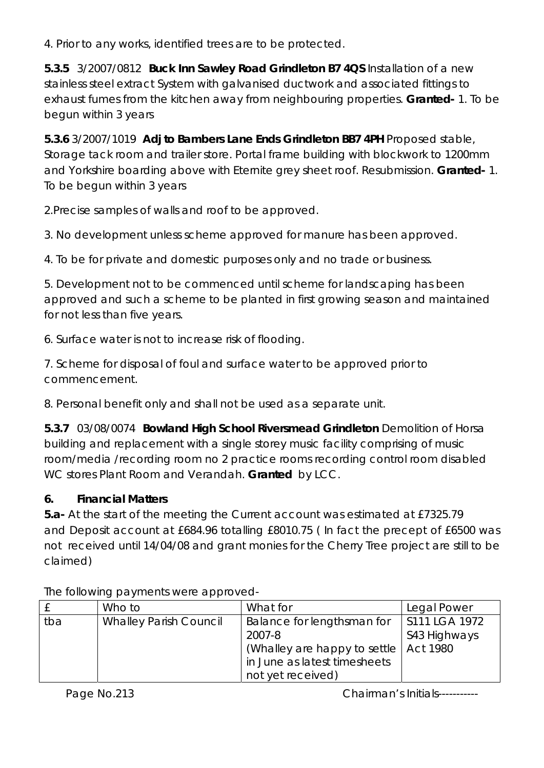4. Prior to any works, identified trees are to be protected.

**5.3.5** 3/2007/0812 **Buck Inn Sawley Road Grindleton B7 4QS** Installation of a new stainless steel extract System with galvanised ductwork and associated fittings to exhaust fumes from the kitchen away from neighbouring properties. **Granted-** 1. To be begun within 3 years

**5.3.6** 3/2007/1019 **Adj to Bambers Lane Ends Grindleton BB7 4PH** Proposed stable, Storage tack room and trailer store. Portal frame building with blockwork to 1200mm and Yorkshire boarding above with Eternite grey sheet roof. Resubmission. **Granted-** 1. To be begun within 3 years

2.Precise samples of walls and roof to be approved.

3. No development unless scheme approved for manure has been approved.

4. To be for private and domestic purposes only and no trade or business.

5. Development not to be commenced until scheme for landscaping has been approved and such a scheme to be planted in first growing season and maintained for not less than five years.

6. Surface water is not to increase risk of flooding.

7. Scheme for disposal of foul and surface water to be approved prior to commencement.

8. Personal benefit only and shall not be used as a separate unit.

**5.3.7** 03/08/0074 **Bowland High School Riversmead Grindleton** Demolition of Horsa building and replacement with a single storey music facility comprising of music room/media /recording room no 2 practice rooms recording control room disabled WC stores Plant Room and Verandah. **Granted** by LCC.

## **6. Financial Matters**

**5.a-** At the start of the meeting the Current account was estimated at £7325.79 and Deposit account at £684.96 totalling £8010.75 ( In fact the precept of £6500 was not received until 14/04/08 and grant monies for the Cherry Tree project are still to be claimed)

|     | Who to                        | What for                                 | Legal Power   |
|-----|-------------------------------|------------------------------------------|---------------|
| tba | <b>Whalley Parish Council</b> | Balance for lengthsman for               | S111 LGA 1972 |
|     |                               | 2007-8                                   | S43 Highways  |
|     |                               | (Whalley are happy to settle   Act 1980) |               |
|     |                               | in June as latest timesheets             |               |
|     |                               | not yet received)                        |               |

The following payments were approved-

Page No.213 **Chairman's Initials-----------**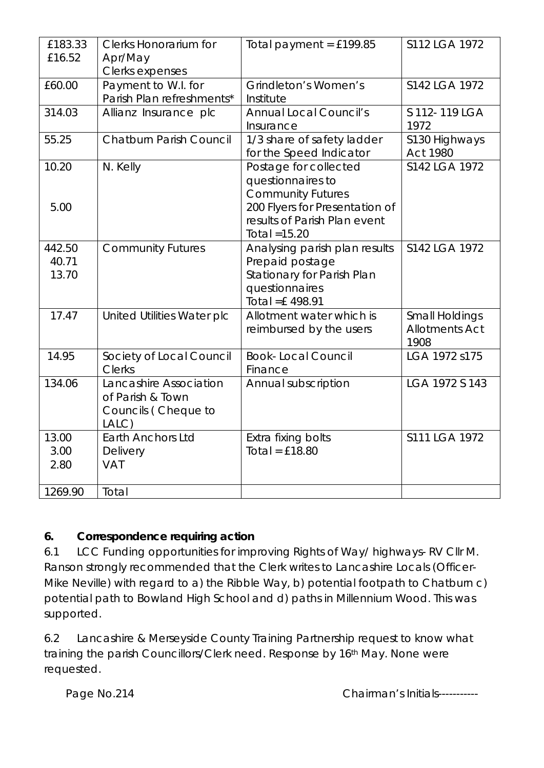| £183.33<br>£16.52        | <b>Clerks Honorarium for</b><br>Apr/May                                    | Total payment = $£199.85$                                                                                              | S112 LGA 1972                                          |
|--------------------------|----------------------------------------------------------------------------|------------------------------------------------------------------------------------------------------------------------|--------------------------------------------------------|
|                          | Clerks expenses                                                            |                                                                                                                        |                                                        |
| £60.00                   | Payment to W.I. for<br>Parish Plan refreshments*                           | Grindleton's Women's<br>Institute                                                                                      | S142 LGA 1972                                          |
| 314.03                   | Allianz Insurance plc                                                      | <b>Annual Local Council's</b><br>Insurance                                                                             | S 112-119 LGA<br>1972                                  |
| 55.25                    | <b>Chatburn Parish Council</b>                                             | 1/3 share of safety ladder<br>for the Speed Indicator                                                                  | S130 Highways<br><b>Act 1980</b>                       |
| 10.20<br>5.00            | N. Kelly                                                                   | Postage for collected<br>questionnaires to<br><b>Community Futures</b><br>200 Flyers for Presentation of               | S142 LGA 1972                                          |
|                          |                                                                            | results of Parish Plan event<br>Total $=15.20$                                                                         |                                                        |
| 442.50<br>40.71<br>13.70 | <b>Community Futures</b>                                                   | Analysing parish plan results<br>Prepaid postage<br>Stationary for Parish Plan<br>questionnaires<br>Total = $£$ 498.91 | S142 LGA 1972                                          |
| 17.47                    | United Utilities Water plc                                                 | Allotment water which is<br>reimbursed by the users                                                                    | <b>Small Holdings</b><br><b>Allotments Act</b><br>1908 |
| 14.95                    | Society of Local Council<br><b>Clerks</b>                                  | <b>Book-Local Council</b><br>Finance                                                                                   | LGA 1972 s175                                          |
| 134.06                   | Lancashire Association<br>of Parish & Town<br>Councils (Cheque to<br>LALC) | Annual subscription                                                                                                    | LGA 1972 S 143                                         |
| 13.00<br>3.00<br>2.80    | <b>Earth Anchors Ltd</b><br>Delivery<br><b>VAT</b>                         | Extra fixing bolts<br>Total = $£18.80$                                                                                 | S111 LGA 1972                                          |
| 1269.90                  | Total                                                                      |                                                                                                                        |                                                        |

#### **6. Correspondence requiring action**

6.1 LCC Funding opportunities for improving Rights of Way/ highways- RV Cllr M. Ranson strongly recommended that the Clerk writes to Lancashire Locals (Officer-Mike Neville) with regard to a) the Ribble Way, b) potential footpath to Chatburn c) potential path to Bowland High School and d) paths in Millennium Wood. This was supported.

6.2 Lancashire & Merseyside County Training Partnership request to know what training the parish Councillors/Clerk need. Response by 16th May. None were requested.